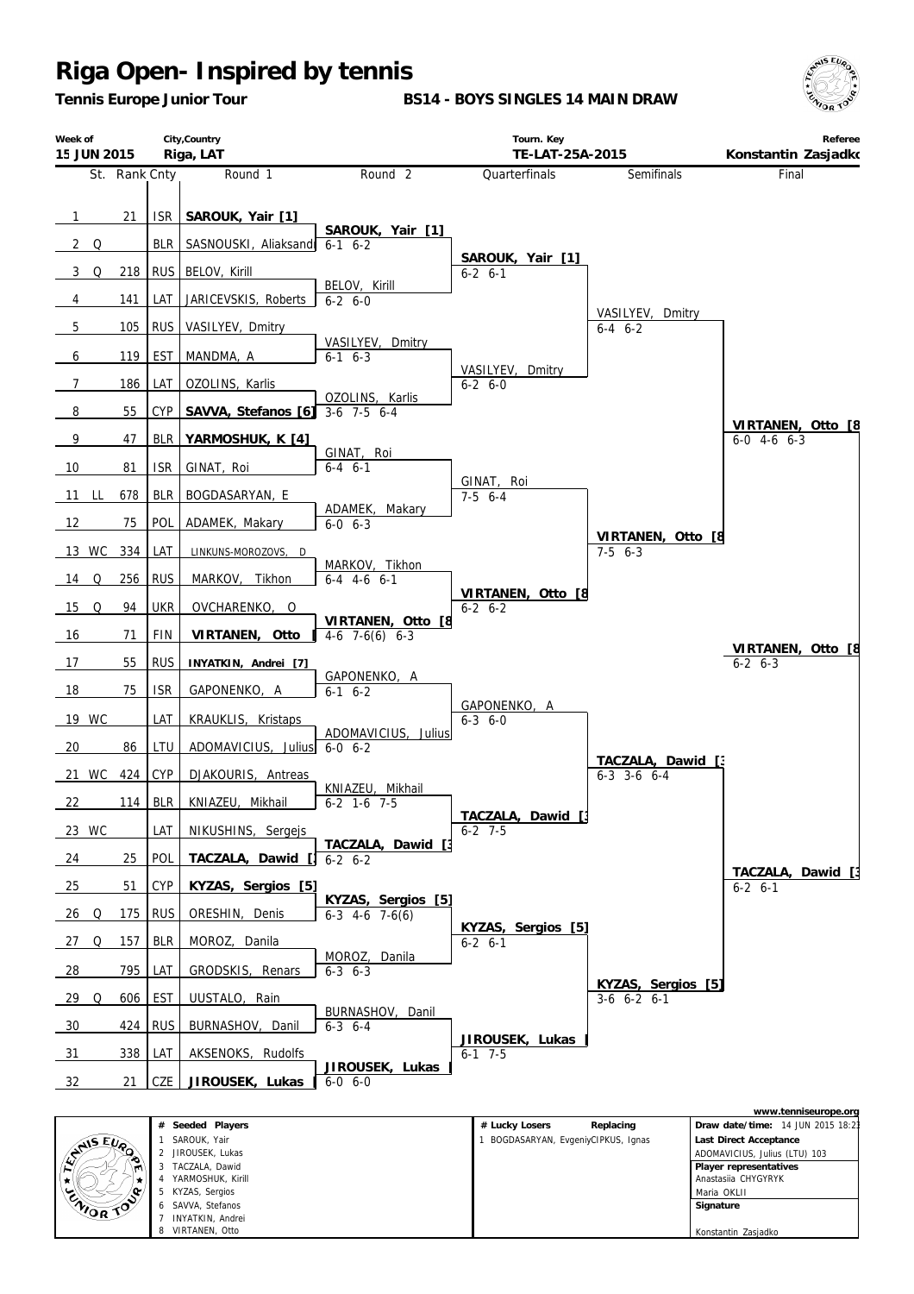*Tennis Europe Junior Tour*

**BS14 - BOYS SINGLES 14 MAIN DRAW**



| Week of<br>15 JUN 2015 |               |            | City, Country<br>Riga, LAT                |                                             | Tourn. Key<br>TE-LAT-25A-2015            |                                      | Referee<br>Konstantin Zasjadko                           |
|------------------------|---------------|------------|-------------------------------------------|---------------------------------------------|------------------------------------------|--------------------------------------|----------------------------------------------------------|
|                        | St. Rank Cnty |            | Round 1                                   | Round <sub>2</sub>                          | Quarterfinals                            | Semifinals                           | Final                                                    |
| $\overline{1}$<br>2 Q  | 21            | ISR<br>BLR | SAROUK, Yair [1]<br>SASNOUSKI, Aliaksandr | SAROUK, Yair [1]<br>$6-1$ $6-2$             |                                          |                                      |                                                          |
|                        |               |            |                                           |                                             | SAROUK, Yair [1]                         |                                      |                                                          |
| 3 Q                    | 218           | <b>RUS</b> | BELOV, Kirill                             | BELOV, Kirill                               | $6-2$ $6-1$                              |                                      |                                                          |
| 4                      | 141           | LAT        | JARICEVSKIS, Roberts                      | $6 - 2 6 - 0$                               |                                          | VASILYEV, Dmitry                     |                                                          |
| $5\overline{)}$        | 105           | <b>RUS</b> | VASILYEV, Dmitry                          | VASILYEV, Dmitry                            |                                          | $6-4$ $6-2$                          |                                                          |
| 6                      | 119           | EST        | MANDMA, A                                 | $6-1$ $6-3$                                 | VASILYEV, Dmitry                         |                                      |                                                          |
| $\overline{7}$         | 186           | LAT        | OZOLINS, Karlis                           | OZOLINS, Karlis                             | $6 - 2 6 - 0$                            |                                      |                                                          |
| 8                      | 55            | <b>CYP</b> | SAVVA, Stefanos [6]                       | $3-6$ 7-5 6-4                               |                                          |                                      | VIRTANEN, Otto [8]                                       |
| - 9                    | 47            | <b>BLR</b> | YARMOSHUK, K [4]                          | GINAT, Roi                                  |                                          |                                      | $6-0$ 4-6 $6-3$                                          |
| 10                     | 81            | <b>ISR</b> | GINAT, Roi                                | $6 - 4$ $6 - 1$                             | GINAT, Roi                               |                                      |                                                          |
| 11<br>L                | 678           | <b>BLR</b> | BOGDASARYAN, E                            |                                             | $7-5$ 6-4                                |                                      |                                                          |
| 12                     | 75            | POL        | ADAMEK, Makary                            | ADAMEK, Makary<br>$6 - 0 6 - 3$             |                                          |                                      |                                                          |
| 13 WC                  | 334           | LAT        | LINKUNS-MOROZOVS, D                       |                                             |                                          | VIRTANEN, Otto [8<br>$7-5$ 6-3       |                                                          |
| $14$ Q                 | 256           | <b>RUS</b> | MARKOV, Tikhon                            | MARKOV, Tikhon<br>$6-4$ 4-6 6-1             |                                          |                                      |                                                          |
| $15$ Q                 | 94            | <b>UKR</b> | OVCHARENKO, O                             |                                             | VIRTANEN, Otto [8<br>$6 - 2 \quad 6 - 2$ |                                      |                                                          |
| 16                     | 71            | <b>FIN</b> | VIRTANEN, Otto                            | VIRTANEN, Otto [8<br>$4-6$ 7 $-6(6)$ 6 $-3$ |                                          |                                      |                                                          |
| 17                     | 55            | <b>RUS</b> | INYATKIN, Andrei [7]                      |                                             |                                          |                                      | VIRTANEN, Otto [8<br>$6 - 2 6 - 3$                       |
| 18                     | 75            | <b>ISR</b> | GAPONENKO, A                              | GAPONENKO, A<br>$6-1$ $6-2$                 |                                          |                                      |                                                          |
| 19 WC                  |               | LAT        | KRAUKLIS, Kristaps                        |                                             | GAPONENKO, A<br>$6 - 3$ $6 - 0$          |                                      |                                                          |
| 20                     | 86            | LTU        | ADOMAVICIUS, Julius                       | ADOMAVICIUS, Julius<br>$6 - 0 6 - 2$        |                                          |                                      |                                                          |
| 21 WC                  | 424           | <b>CYP</b> | DJAKOURIS, Antreas                        |                                             |                                          | TACZALA, Dawid [3<br>$6-3$ 3-6 $6-4$ |                                                          |
| 22                     | 114           | <b>BLR</b> | KNIAZEU, Mikhail                          | KNIAZEU, Mikhail<br>$6-2$ 1-6 7-5           |                                          |                                      |                                                          |
| 23 WC                  |               | LAT        | NIKUSHINS, Sergejs                        |                                             | TACZALA, Dawid [;<br>$6 - 2$ 7-5         |                                      |                                                          |
| 24                     | 25            | POL        | TACZALA, Dawid                            | TACZALA,<br>Dawid<br>$6 - 2 6 - 2$          |                                          |                                      |                                                          |
| 25                     | 51            | <b>CYP</b> | KYZAS, Sergios [5]                        |                                             |                                          |                                      | TACZALA,<br>Dawid<br>$6-2$ $6-1$                         |
| $\frac{26}{ }$<br>Q    | 175           | <b>RUS</b> | ORESHIN, Denis                            | KYZAS, Sergios [5]<br>$6-3$ 4-6 7-6(6)      |                                          |                                      |                                                          |
| 27<br>Q                | 157           | <b>BLR</b> | MOROZ, Danila                             |                                             | KYZAS, Sergios [5]<br>$6 - 2 6 - 1$      |                                      |                                                          |
| $\frac{28}{ }$         | 795           | LAT        | GRODSKIS, Renars                          | MOROZ, Danila<br>$6 - 3$ $6 - 3$            |                                          |                                      |                                                          |
| 29<br>Q                | 606           | <b>EST</b> | UUSTALO, Rain                             |                                             |                                          | KYZAS, Sergios [5]<br>$3-6$ 6-2 6-1  |                                                          |
| 30                     | 424           | <b>RUS</b> | BURNASHOV, Danil                          | BURNASHOV, Danil<br>$6 - 3$ $6 - 4$         |                                          |                                      |                                                          |
| 31                     | 338           | LAT        | AKSENOKS, Rudolfs                         |                                             | JIROUSEK, Lukas<br>$6-1$ 7-5             |                                      |                                                          |
| 32                     | 21            | CZE        | JIROUSEK, Lukas                           | JIROUSEK, Lukas<br>$6 - 0 6 - 0$            |                                          |                                      |                                                          |
|                        |               |            |                                           |                                             |                                          |                                      |                                                          |
|                        |               |            | # Seeded Players                          |                                             | # Lucky Losers                           | Replacing                            | www.tenniseurope.org<br>Draw date/time: 14 JUN 2015 18:2 |

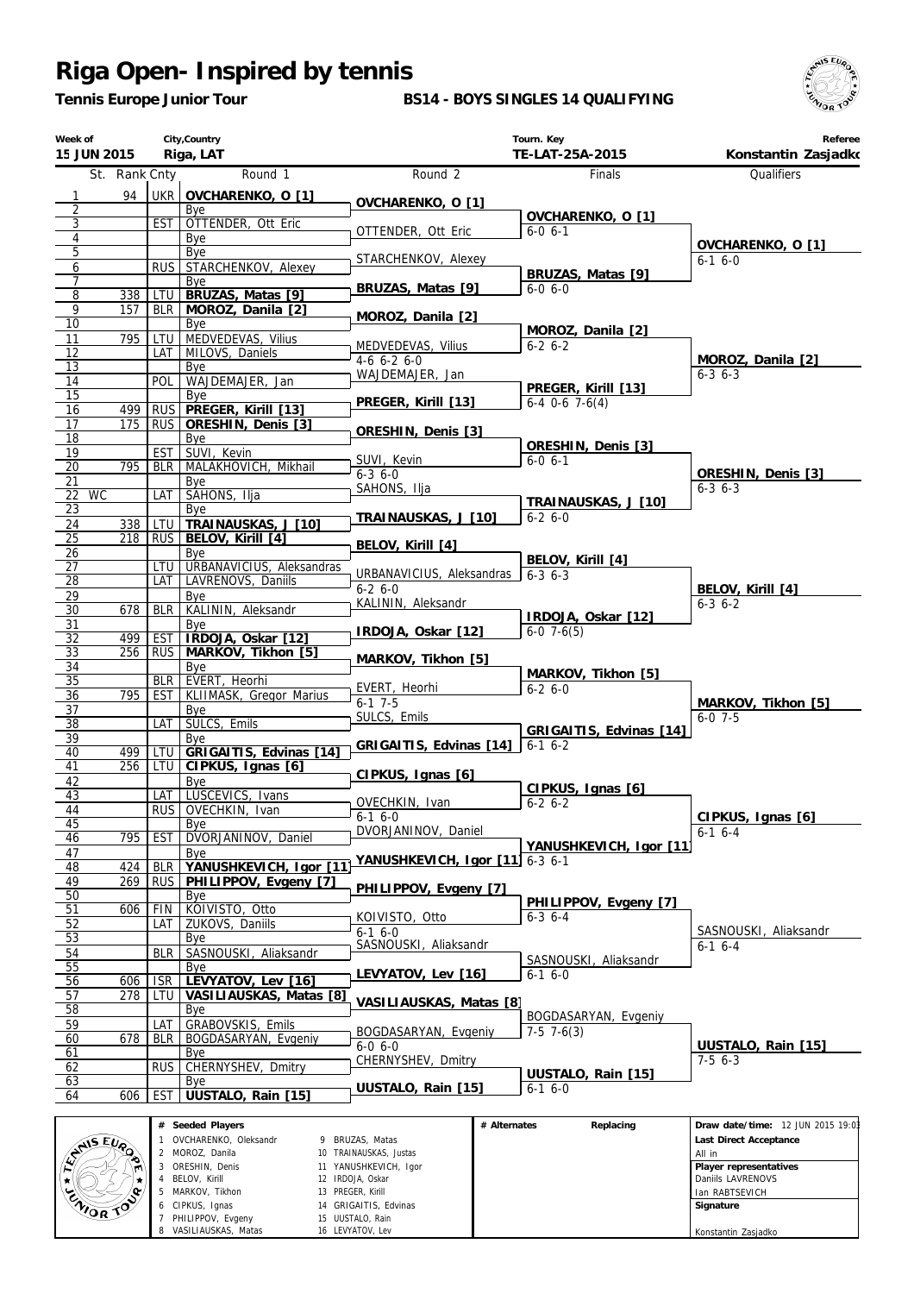*Tennis Europe Junior Tour*

#### **BS14 - BOYS SINGLES 14 QUALIFYING**



| Week of<br>15 JUN 2015 |               |                   | City, Country<br>Riga, LAT                |                                         |              | Tourn. Key<br>TE-LAT-25A-2015        | Referee<br>Konstantin Zasjadko    |
|------------------------|---------------|-------------------|-------------------------------------------|-----------------------------------------|--------------|--------------------------------------|-----------------------------------|
|                        | St. Rank Cnty |                   | Round 1                                   | Round <sub>2</sub>                      |              | Finals                               | Qualifiers                        |
| $\mathbf{1}$           | 94            |                   | UKR OVCHARENKO, O [1]                     |                                         |              |                                      |                                   |
| 2                      |               |                   | Bye                                       | OVCHARENKO, O [1]                       |              | OVCHARENKO, O [1]                    |                                   |
| 3                      |               | <b>EST</b>        | OTTENDER, Ott Eric                        | OTTENDER, Ott Eric                      |              | $6 - 0 6 - 1$                        |                                   |
| $\overline{4}$<br>5    |               |                   | Bye<br>Bye                                |                                         |              |                                      | OVCHARENKO, O [1]                 |
| 6                      |               | <b>RUS</b>        | STARCHENKOV, Alexey                       | STARCHENKOV, Alexey                     |              |                                      | $6-1$ $6-0$                       |
| 7                      |               |                   | Bye                                       | BRUZAS, Matas [9]                       |              | BRUZAS, Matas [9]<br>$6-0, 6-0$      |                                   |
| $\overline{8}$         | 338           | LTU               | BRUZAS, Matas [9]                         |                                         |              |                                      |                                   |
| 9<br>$\overline{10}$   | 157           | <b>BLR</b>        | MOROZ, Danila [2]<br>Bye                  | MOROZ, Danila [2]                       |              |                                      |                                   |
| 11                     | 795           | LTU               | MEDVEDEVAS, Vilius                        |                                         |              | MOROZ, Danila [2]                    |                                   |
| 12                     |               | LAT               | MILOVS, Daniels                           | MEDVEDEVAS, Vilius<br>$4-6$ $6-2$ $6-0$ |              | $6 - 2 6 - 2$                        | MOROZ, Danila [2]                 |
| 13                     |               |                   | Bye                                       | WAJDEMAJER, Jan                         |              |                                      | $6 - 3$ $6 - 3$                   |
| 14<br>15               |               | POL               | WAJDEMAJER, Jan<br>Bye                    |                                         |              | PREGER, Kirill [13]                  |                                   |
| 16                     | 499           | <b>RUS</b>        | PREGER, Kirill [13]                       | PREGER, Kirill [13]                     |              | $6-4$ $0-6$ $7-6(4)$                 |                                   |
| 17                     | 175           | <b>RUS</b>        | ORESHIN, Denis [3]                        | ORESHIN, Denis [3]                      |              |                                      |                                   |
| 18                     |               |                   | Bye<br>SUVI, Kevin                        |                                         |              | ORESHIN, Denis [3]                   |                                   |
| 19<br>20               | 795           | <b>EST</b><br>BLR | MALAKHOVICH, Mikhail                      | SUVI, Kevin                             |              | $6-0, 6-1$                           |                                   |
| 21                     |               |                   | Bye                                       | $6 - 36 - 0$                            |              |                                      | ORESHIN, Denis [3]                |
| <b>WC</b><br>22        |               | LAT               | SAHONS, Ilja                              | SAHONS, Ilja                            |              | TRAINAUSKAS, J [10]                  | $6 - 3$ $6 - 3$                   |
| 23                     |               |                   | Bye                                       | TRAINAUSKAS, J [10]                     |              | $6 - 26 - 0$                         |                                   |
| 24<br>25               | 338<br>218    | LTU<br><b>RUS</b> | TRAINAUSKAS, J [10]<br>BELOV, Kirill [4]  |                                         |              |                                      |                                   |
| 26                     |               |                   | Bye                                       | BELOV, Kirill [4]                       |              |                                      |                                   |
| 27                     |               | LTU               | URBANAVICIUS, Aleksandras                 | URBANAVICIUS, Aleksandras               |              | BELOV, Kirill [4]<br>$6 - 3$ $6 - 3$ |                                   |
| 28                     |               | LAT               | LAVRENOVS, Daniils                        | $6 - 26 - 0$                            |              |                                      | BELOV, Kirill [4]                 |
| 29<br>$\overline{30}$  | 678           | <b>BLR</b>        | Bye<br>KALININ, Aleksandr                 | KALININ, Aleksandr                      |              |                                      | $6 - 3 6 - 2$                     |
| 31                     |               |                   | Bye                                       |                                         |              | IRDOJA, Oskar [12]                   |                                   |
| 32                     | 499           | <b>EST</b>        | IRDOJA, Oskar [12]                        | IRDOJA, Oskar [12]                      |              | $6-0$ 7 $-6(5)$                      |                                   |
| 33                     | 256           | <b>RUS</b>        | MARKOV, Tikhon [5]                        | MARKOV, Tikhon [5]                      |              |                                      |                                   |
| 34<br>35               |               | <b>BLR</b>        | Bye<br>EVERT, Heorhi                      |                                         |              | MARKOV, Tikhon [5]                   |                                   |
| 36                     | 795           | EST I             | KLIIMASK, Gregor Marius                   | EVERT, Heorhi<br>$6-1$ 7-5              |              | $6 - 26 - 0$                         |                                   |
| 37                     |               |                   | Bye                                       | SULCS, Emils                            |              |                                      | MARKOV, Tikhon [5]<br>$6 - 0$ 7-5 |
| 38                     |               | LAT               | SULCS, Emils                              |                                         |              | GRIGAITIS, Edvinas [14]              |                                   |
| 39<br>40               | 499           | LTU               | Bye<br>GRIGAITIS, Edvinas [14]            | GRIGAITIS, Edvinas [14]                 |              | $6-1$ $6-2$                          |                                   |
| 41                     | 256           | LTU               | CIPKUS, Ignas [6]                         |                                         |              |                                      |                                   |
| 42                     |               |                   | Bye                                       | CIPKUS, Ignas [6]                       |              | CIPKUS, Ignas [6]                    |                                   |
| 43<br>44               |               | LAT               | LUSCEVICS, Ivans<br>RUS OVECHKIN, Ivan    | OVECHKIN, Ivan                          |              | $6 - 2 6 - 2$                        |                                   |
| 45                     |               |                   | Bye                                       | $6 - 16 - 0$                            |              |                                      | CIPKUS, Ignas [6]                 |
| 46                     | 795           | <b>EST</b>        | DVORJANINOV, Daniel                       | DVORJANINOV, Daniel                     |              |                                      | $6-1$ 6-4                         |
| 47                     |               |                   | Bye                                       | YANUSHKEVICH, Igor [11] 6-3 6-1         |              | YANUSHKEVICH, Igor [11]              |                                   |
| 48                     | 424           | <b>BLR</b>        | YANUSHKEVICH, Igor [11                    |                                         |              |                                      |                                   |
| 49<br>50               | 269           | <b>RUS</b>        | PHILIPPOV, Evgeny [7]<br>Bye              | PHILIPPOV, Evgeny [7]                   |              |                                      |                                   |
| 51                     | 606           | <b>FIN</b>        | KOIVISTO, Otto                            |                                         |              | PHILIPPOV, Evgeny [7]                |                                   |
| 52                     |               | LAT               | ZUKOVS, Daniils                           | KOIVISTO, Otto<br>$6-16-0$              |              | $6 - 3$ $6 - 4$                      | SASNOUSKI, Aliaksandr             |
| 53                     |               |                   | Bye                                       | SASNOUSKI, Aliaksandr                   |              |                                      | $6-1$ 6-4                         |
| 54<br>55               |               | <b>BLR</b>        | SASNOUSKI, Aliaksandr<br>Bye              |                                         |              | SASNOUSKI, Aliaksandr                |                                   |
| 56                     | 606           | <b>ISR</b>        | LEVYATOV, Lev [16]                        | LEVYATOV, Lev [16]                      |              | $6 - 16 - 0$                         |                                   |
| 57                     | 278           | LTU               | VASILIAUSKAS, Matas [8]                   | VASILIAUSKAS, Matas [8]                 |              |                                      |                                   |
| 58                     |               |                   | Bye                                       |                                         |              | BOGDASARYAN, Evgeniy                 |                                   |
| 59<br>60               | 678           | LAT<br>BLR        | GRABOVSKIS, Emils<br>BOGDASARYAN, Evgeniy | BOGDASARYAN, Evgeniy                    |              | $7-5$ 7 $-6(3)$                      |                                   |
| 61                     |               |                   | Bye                                       | $6-0, 6-0$                              |              |                                      | UUSTALO, Rain [15]                |
| 62                     |               | <b>RUS</b>        | CHERNYSHEV, Dmitry                        | CHERNYSHEV, Dmitry                      |              | UUSTALO, Rain [15]                   | $7-56-3$                          |
| 63                     |               |                   | Bye                                       | UUSTALO, Rain [15]                      |              | $6 - 16 - 0$                         |                                   |
| 64                     | 606           | <b>EST</b>        | UUSTALO, Rain [15]                        |                                         |              |                                      |                                   |
|                        |               |                   | # Seeded Players                          |                                         | # Alternates | Replacing                            | Draw date/time: 12 JUN 2015 19:0  |

ENIS EURO OVCHARENKO, Oleksandr BRUZAS, Matas  **Last Direct Acceptance** MOROZ, Danila TRAINAUSKAS, Justas All in ORESHIN, Denis YANUSHKEVICH, Igor  **Player representatives** BELOV, Kirill IRDOJA, Oskar  $\star$ Daniils LAVRENOVS MARKOV, Tikhon PREGER, Kirill Ian RABTSEVICH  $\langle \mathbf{e} \rangle$  GRIGAITIS, Edvinas  **Signature** CIPKUS, Ignas UUSTALO, Rain PHILIPPOV, Evgeny LEVYATOV, Lev Konstantin ZasjadkoVASILIAUSKAS, Matas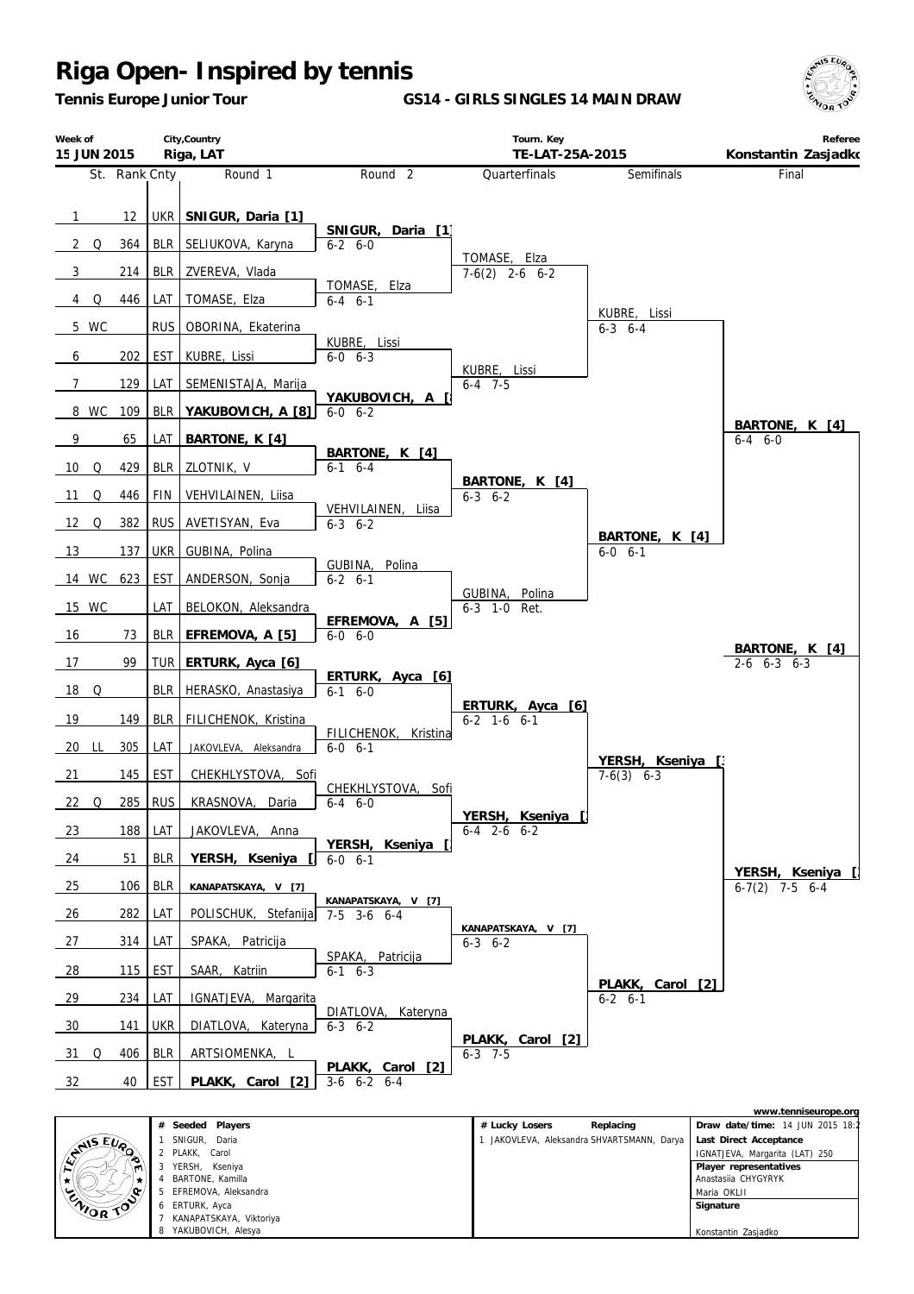*Tennis Europe Junior Tour*

**GS14 - GIRLS SINGLES 14 MAIN DRAW**





|                | # Seeded Players        | Replacing<br># Lucky Losers              | Draw date/time: 14 JUN 2015 18:2 |
|----------------|-------------------------|------------------------------------------|----------------------------------|
|                | SNIGUR, Daria           | JAKOVLEVA, Aleksandra SHVARTSMANN, Darya | Last Direct Acceptance           |
| <b>ENISEUR</b> | 2 PLAKK, Carol          |                                          | IGNATJEVA, Margarita (LAT) 250   |
| ∾<br>ven.      | YERSH.<br>Kseniya       |                                          | Player representatives           |
|                | BARTONE, Kamilla        |                                          | Anastasija CHYGYRYK              |
|                | 5 EFREMOVA, Aleksandra  |                                          | Maria OKLII                      |
| ENIOR TO       | 6 ERTURK, Ayca          |                                          | Signature                        |
|                | KANAPATSKAYA, Viktoriya |                                          |                                  |
|                | 8 YAKUBOVICH, Alesya    |                                          | Konstantin Zasjadko              |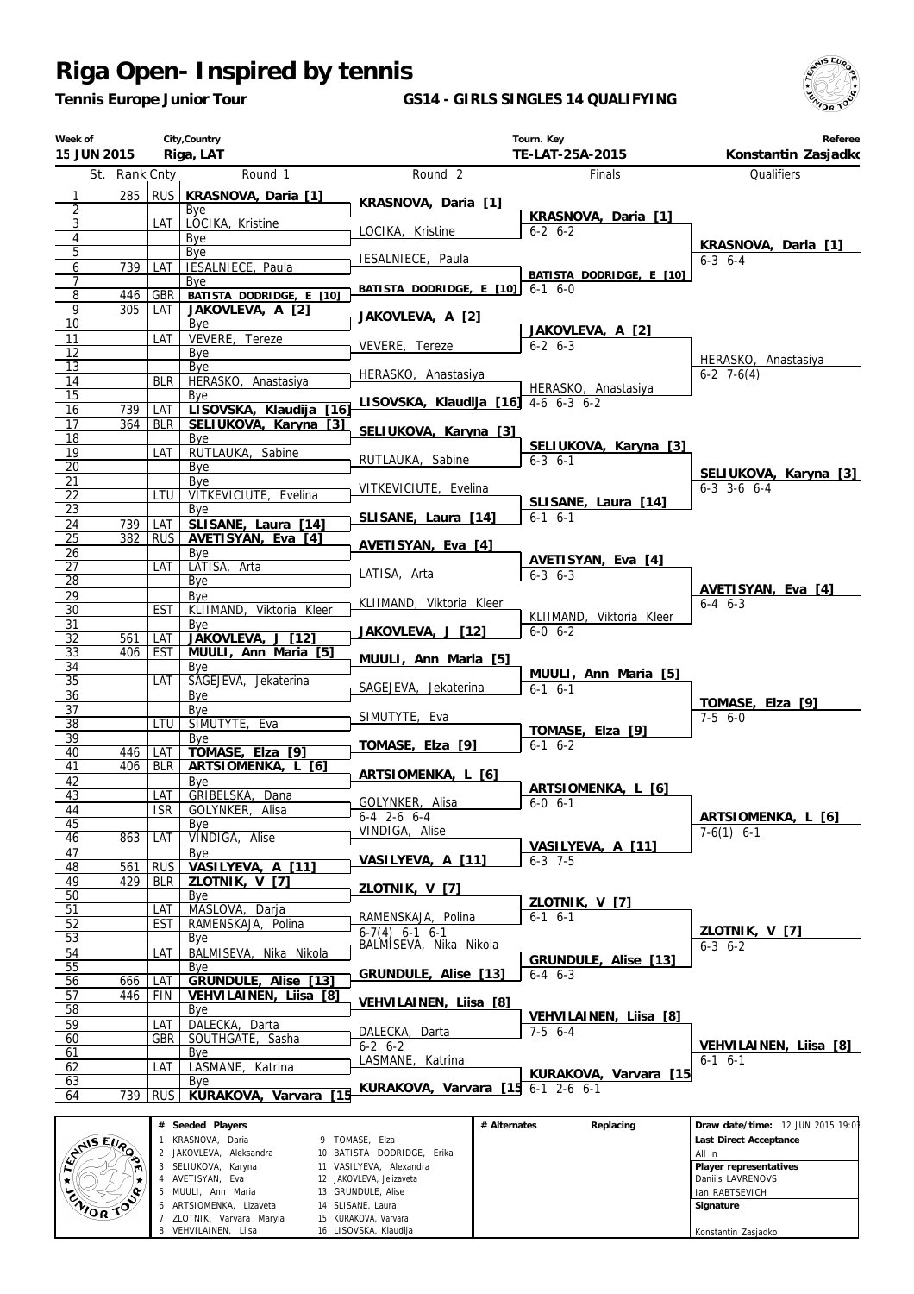*Tennis Europe Junior Tour*

#### **GS14 - GIRLS SINGLES 14 QUALIFYING**



| Week of<br>15 JUN 2015 |               |                   | City, Country<br>Riga, LAT                          |                                     | Tourn. Key<br>TE-LAT-25A-2015           | Referee<br>Konstantin Zasjadko |
|------------------------|---------------|-------------------|-----------------------------------------------------|-------------------------------------|-----------------------------------------|--------------------------------|
|                        | St. Rank Cnty |                   | Round 1                                             | Round <sub>2</sub>                  | <b>Finals</b>                           | <b>Oualifiers</b>              |
| $\mathbf{1}$           | 285           |                   | RUS KRASNOVA, Daria [1]                             |                                     |                                         |                                |
| 2                      |               |                   | Bye                                                 | KRASNOVA, Daria [1]                 | KRASNOVA, Daria [1]                     |                                |
| 3                      |               | LAT               | LOCIKA, Kristine                                    | LOCIKA, Kristine                    | $6-2$ $6-2$                             |                                |
| $\overline{4}$<br>5    |               |                   | Bye<br>Bye                                          |                                     |                                         | KRASNOVA, Daria [1]            |
| 6                      | 739           | LAT               | IESALNIECE, Paula                                   | IESALNIECE, Paula                   |                                         | $6 - 3$ $6 - 4$                |
| $\overline{7}$         |               |                   | Bye                                                 | BATISTA DODRIDGE, E [10]            | BATISTA DODRIDGE, E [10]<br>$6-1$ $6-0$ |                                |
| $\overline{8}$         | 446           | <b>GBR</b>        | BATISTA DODRIDGE, E [10]                            |                                     |                                         |                                |
| 9<br>10                | 305           | LAT               | JAKOVLEVA, A [2]<br>Bye                             | JAKOVLEVA, A [2]                    |                                         |                                |
| 11                     |               | LAT               | VEVERE, Tereze                                      |                                     | JAKOVLEVA, A [2]                        |                                |
| 12                     |               |                   | Bye                                                 | VEVERE, Tereze                      | $6 - 2 6 - 3$                           | HERASKO, Anastasiya            |
| 13                     |               |                   | Bye                                                 | HERASKO, Anastasiya                 |                                         | $6-2$ 7 $-6(4)$                |
| 14<br>15               |               | <b>BLR</b>        | HERASKO, Anastasiya<br>Bye                          |                                     | HERASKO, Anastasiya                     |                                |
| 16                     | 739           | LAT               | LISOVSKA, Klaudija<br>$\overline{16}$               | LISOVSKA, Klaudija [16] 4-6 6-3 6-2 |                                         |                                |
| 17                     | 364           | BLR               | SELIUKOVA, Karyna [3]                               | SELIUKOVA, Karyna [3]               |                                         |                                |
| $\overline{18}$        |               |                   | Bye                                                 |                                     | SELIUKOVA, Karyna [3]                   |                                |
| 19<br>$\overline{20}$  |               | LAT               | RUTLAUKA, Sabine                                    | RUTLAUKA, Sabine                    | $6 - 3$ $6 - 1$                         |                                |
| 21                     |               |                   | Bye<br>Bye                                          |                                     |                                         | SELIUKOVA, Karyna [3]          |
| 22                     |               | LTU               | VITKEVICIUTE, Evelina                               | VITKEVICIUTE, Evelina               | SLISANE, Laura [14]                     | $6-3$ $3-6$ $6-4$              |
| 23                     |               |                   | Bye                                                 | SLISANE, Laura [14]                 | $6-1$ $6-1$                             |                                |
| 24<br>$\overline{25}$  | 739<br>382    | LAT               | SLISANE, Laura [14]<br>AVETISYAN, Eva [4]           |                                     |                                         |                                |
| 26                     |               | <b>RUS</b>        | Bye                                                 | AVETISYAN, Eva [4]                  |                                         |                                |
| 27                     |               | LAT               | LATISA, Arta                                        |                                     | AVETISYAN, Eva [4]                      |                                |
| $\overline{28}$        |               |                   | Bye                                                 | LATISA, Arta                        | $6 - 3$ $6 - 3$                         | AVETISYAN, Eva [4]             |
| 29                     |               |                   | Bye                                                 | KLIIMAND, Viktoria Kleer            |                                         | $6 - 4$ $6 - 3$                |
| 30<br>31               |               | <b>EST</b>        | KLIIMAND, Viktoria Kleer<br>Bye                     |                                     | KLIIMAND, Viktoria Kleer                |                                |
| 32                     | 561           | LAT               | JAKOVLEVA,<br>$\overline{1121}$<br>$\perp$          | JAKOVLEVA, J [12]                   | $6-0$ $6-2$                             |                                |
| 33                     | 406           | EST               | MUULI, Ann Maria [5]                                | MUULI, Ann Maria [5]                |                                         |                                |
| 34                     |               |                   | Bye                                                 |                                     | MUULI, Ann Maria [5]                    |                                |
| 35<br>36               |               | LAT               | SAGEJEVA, Jekaterina<br>Bye                         | SAGEJEVA, Jekaterina                | $6-1$ $6-1$                             |                                |
| 37                     |               |                   | Bye                                                 |                                     |                                         | TOMASE, Elza [9]               |
| 38                     |               | <b>LTU</b>        | SIMUTYTE, Eva                                       | SIMUTYTE, Eva                       | TOMASE, Elza [9]                        | $7-56-0$                       |
| 39                     |               |                   | Bye                                                 | TOMASE, Elza [9]                    | $6-1$ $6-2$                             |                                |
| 40<br>41               | 446<br>406    | LAT<br><b>BLR</b> | TOMASE, Elza [9]<br>ARTSIOMENKA, L [6]              |                                     |                                         |                                |
| 42                     |               |                   | Bye                                                 | ARTSIOMENKA, L [6]                  |                                         |                                |
| 43                     |               | LAT               | GRIBELSKA, Dana                                     | GOLYNKER, Alisa                     | ARTSIOMENKA, L [6]<br>$6 - 0 6 - 1$     |                                |
| 44                     |               | ISR               | GOLYNKER, Alisa                                     | $6-4$ 2-6 6-4                       |                                         | ARTSIOMENKA, L [6]             |
| 45<br>46               | 863           | LAT               | Bye<br>VINDIGA, Alise                               | VINDIGA, Alise                      |                                         | $7-6(1)$ 6-1                   |
| 47                     |               |                   | Bye                                                 |                                     | VASILYEVA, A [11]                       |                                |
| 48                     | 561           | <b>RUS</b>        | VASILYEVA, A [11]                                   | VASILYEVA, A [11]                   | $6 - 3$ 7-5                             |                                |
| 49                     | 429           | BLR               | ZLOTNIK, V [7]                                      | ZLOTNIK, V [7]                      |                                         |                                |
| 50<br>51               |               |                   | Bye<br>MASLOVA, Darja                               |                                     | ZLOTNIK, V [7]                          |                                |
| 52                     |               | LAT<br><b>EST</b> | RAMENSKAJA, Polina                                  | RAMENSKAJA, Polina                  | $6-1$ $6-1$                             |                                |
| 53                     |               |                   | Bye                                                 | $6-7(4)$ $6-1$ $6-1$                |                                         | ZLOTNIK, V [7]                 |
| 54                     |               | LAT               | BALMISEVA, Nika Nikola                              | BALMISEVA, Nika Nikola              | GRUNDULE, Alise [13]                    | $6 - 3 \quad 6 - 2$            |
| 55                     |               |                   | Bye                                                 | GRUNDULE, Alise [13]                | $6-4$ $6-3$                             |                                |
| 56<br>57               | 666<br>446    | LAT<br>FIN        | $[13]$<br>GRUNDULE, Alise<br>VEHVILAINEN, Liisa [8] |                                     |                                         |                                |
| 58                     |               |                   | Bye                                                 | VEHVILAINEN, Liisa [8]              |                                         |                                |
| 59                     |               | LAT               | DALECKA, Darta                                      |                                     | VEHVILAINEN, Liisa [8]<br>$7-5$ 6-4     |                                |
| 60                     |               | GBR               | SOUTHGATE, Sasha                                    | DALECKA, Darta<br>$6 - 2 6 - 2$     |                                         | VEHVILAINEN, Liisa [8]         |
| 61                     |               |                   | Bye                                                 | LASMANE, Katrina                    |                                         | $6-1$ $6-1$                    |
| 62<br>63               |               | LAT               | LASMANE,<br>Katrina<br>Bye                          |                                     | KURAKOVA, Varvara [15                   |                                |
| 64                     | 739           | RUS I             | [15<br>KURAKOVA, Varvara                            | KURAKOVA, Varvara [15 6-1 2-6 6-1   |                                         |                                |
|                        |               |                   |                                                     |                                     |                                         |                                |

|                 | Seeded Players<br>#     |                            | # Alternates | Replacing | Draw date/time: 12 JUN 2015 19:01 |
|-----------------|-------------------------|----------------------------|--------------|-----------|-----------------------------------|
| <b>SAISEUP</b>  | KRASNOVA, Daria         | 9 TOMASE. Elza             |              |           | Last Direct Acceptance            |
|                 | 2 JAKOVLEVA, Aleksandra | 10 BATISTA DODRIDGE, Erika |              |           | All in                            |
| m               | SELIUKOVA, Karyna       | 11 VASILYEVA, Alexandra    |              |           | Player representatives            |
|                 | AVETISYAN, Eva          | 12 JAKOVLEVA, Jelizaveta   |              |           | Daniils LAVRENOVS                 |
| <b>ENIOR TO</b> | 5 MUULI, Ann Maria      | 13 GRUNDULE, Alise         |              |           | I Ian RABTSEVICH                  |
|                 | 6 ARTSIOMENKA, Lizaveta | 14 SLISANE, Laura          |              |           | Signature                         |
|                 | ZLOTNIK, Varvara Maryia | 15 KURAKOVA, Varvara       |              |           |                                   |
|                 | 8 VEHVILAINEN, Liisa    | 16 LISOVSKA, Klaudija      |              |           | Konstantin Zasjadko               |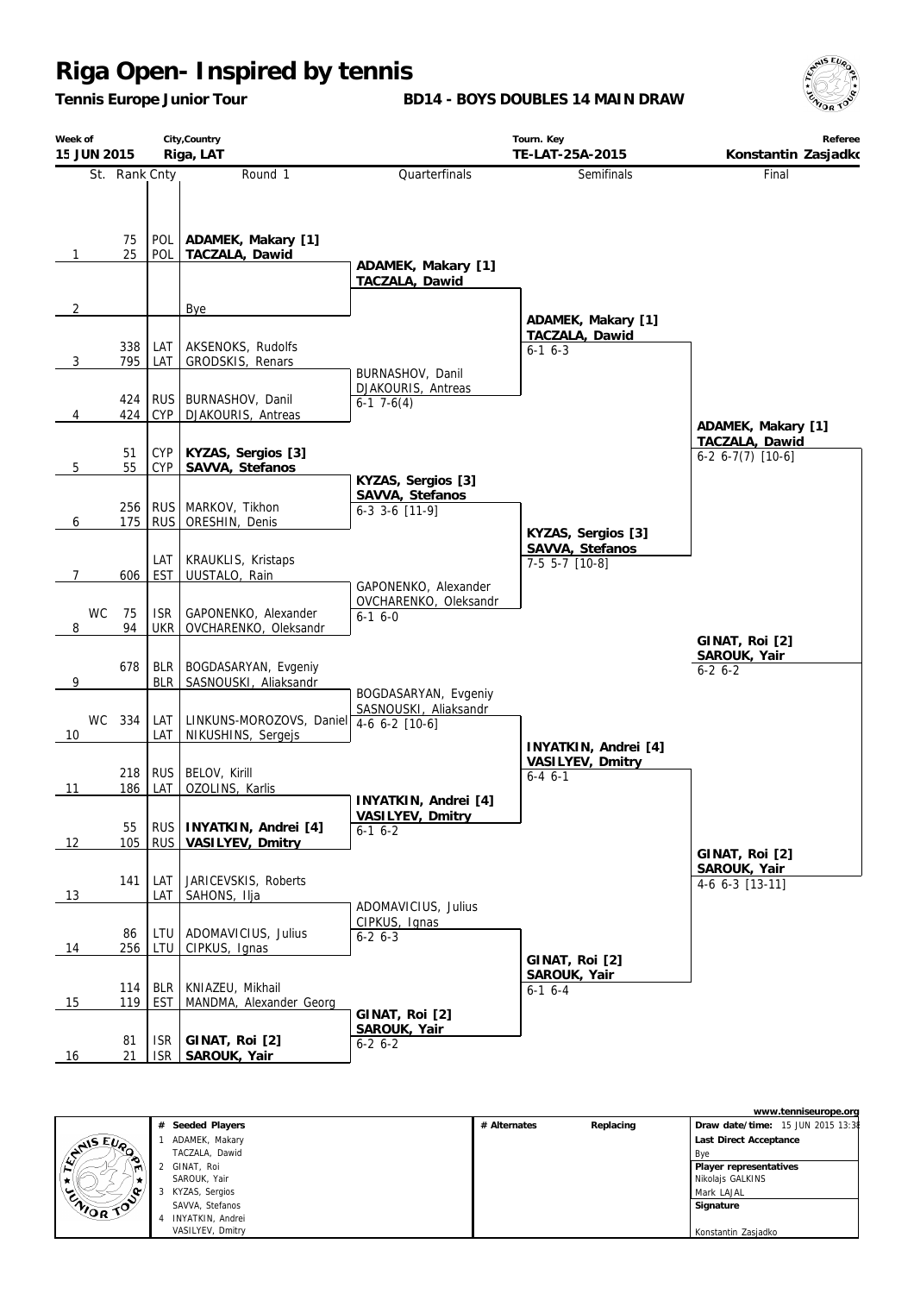*Tennis Europe Junior Tour*

**BD14 - BOYS DOUBLES 14 MAIN DRAW**



| Week of        | City, Country<br>15 JUN 2015<br>Riga, LAT |                          |                                                |                                                                 | Tourn. Key<br>TE-LAT-25A-2015                           | Referee<br>Konstantin Zasjadko            |
|----------------|-------------------------------------------|--------------------------|------------------------------------------------|-----------------------------------------------------------------|---------------------------------------------------------|-------------------------------------------|
|                | St. Rank Cnty                             |                          | Round 1                                        | Quarterfinals                                                   | Semifinals                                              | Final                                     |
| 1              | 75<br>25                                  | POL<br>POL               | ADAMEK, Makary [1]<br>TACZALA, Dawid           | ADAMEK, Makary [1]<br>TACZALA, Dawid                            |                                                         |                                           |
| $\overline{2}$ |                                           |                          | Bye                                            |                                                                 | ADAMEK, Makary [1]                                      |                                           |
| $\overline{3}$ | 338<br>795                                | LAT<br>LAT               | AKSENOKS, Rudolfs<br>GRODSKIS, Renars          | BURNASHOV, Danil                                                | TACZALA, Dawid<br>$6-1$ $6-3$                           |                                           |
| 4              | 424<br>424                                | <b>RUS</b><br>CYP        | BURNASHOV, Danil<br>DJAKOURIS, Antreas         | DJAKOURIS, Antreas<br>$6-1$ 7 $-6(4)$                           |                                                         | ADAMEK, Makary [1]                        |
| 5              | 51<br>55                                  | <b>CYP</b><br>CYP        | KYZAS, Sergios [3]<br>SAVVA, Stefanos          |                                                                 |                                                         | TACZALA, Dawid<br>$6-2$ $6-7(7)$ $[10-6]$ |
| 6              | 256<br>175                                | <b>RUS</b><br><b>RUS</b> | MARKOV, Tikhon<br>ORESHIN, Denis               | KYZAS, Sergios [3]<br>SAVVA, Stefanos<br>$6-3$ 3-6 [11-9]       |                                                         |                                           |
| 7              | 606                                       | LAT<br>EST               | KRAUKLIS, Kristaps<br>UUSTALO, Rain            | GAPONENKO, Alexander                                            | KYZAS, Sergios [3]<br>SAVVA, Stefanos<br>7-5 5-7 [10-8] |                                           |
| <b>WC</b><br>8 | 75<br>94                                  | <b>ISR</b><br><b>UKR</b> | GAPONENKO, Alexander<br>OVCHARENKO, Oleksandr  | OVCHARENKO, Oleksandr<br>$6-16-0$                               |                                                         | GINAT, Roi [2]                            |
| 9              | 678                                       | <b>BLR</b><br><b>BLR</b> | BOGDASARYAN, Evgeniy<br>SASNOUSKI, Aliaksandr  |                                                                 |                                                         | SAROUK, Yair<br>$6-2$ $6-2$               |
| 10             | WC 334                                    | LAT<br>LAT               | LINKUNS-MOROZOVS, Daniel<br>NIKUSHINS, Sergejs | BOGDASARYAN, Evgeniy<br>SASNOUSKI, Aliaksandr<br>4-6 6-2 [10-6] | INYATKIN, Andrei [4]                                    |                                           |
| 11             | 218<br>186                                | <b>RUS</b><br>LAT        | BELOV, Kirill<br>OZOLINS, Karlis               | INYATKIN, Andrei [4]                                            | VASILYEV, Dmitry<br>$6 - 4 6 - 1$                       |                                           |
| 12             | 55<br>105                                 | <b>RUS</b>               | RUS   INYATKIN, Andrei [4]<br>VASILYEV, Dmitry | VASILYEV, Dmitry<br>$6-16-2$                                    |                                                         | GINAT, Roi [2]                            |
| 13             | 141                                       | LAT<br>LAT               | JARICEVSKIS, Roberts<br>SAHONS, Ilja           | ADOMAVICIUS, Julius                                             |                                                         | SAROUK, Yair<br>4-6 6-3 [13-11]           |
| 14             | 86<br>256                                 | LTU<br>LTU               | ADOMAVICIUS, Julius<br>CIPKUS, Ignas           | CIPKUS, Ignas<br>$6-2$ $6-3$                                    | GINAT, Roi [2]                                          |                                           |
| 15             | 114<br>119                                | <b>BLR</b><br><b>EST</b> | KNIAZEU, Mikhail<br>MANDMA, Alexander Georg    |                                                                 | SAROUK, Yair<br>$6-1$ 6-4                               |                                           |
| 16             | 81<br>21                                  | <b>ISR</b><br>ISR        | GINAT, Roi [2]<br>SAROUK, Yair                 | GINAT, Roi [2]<br>SAROUK, Yair<br>$6 - 26 - 2$                  |                                                         |                                           |